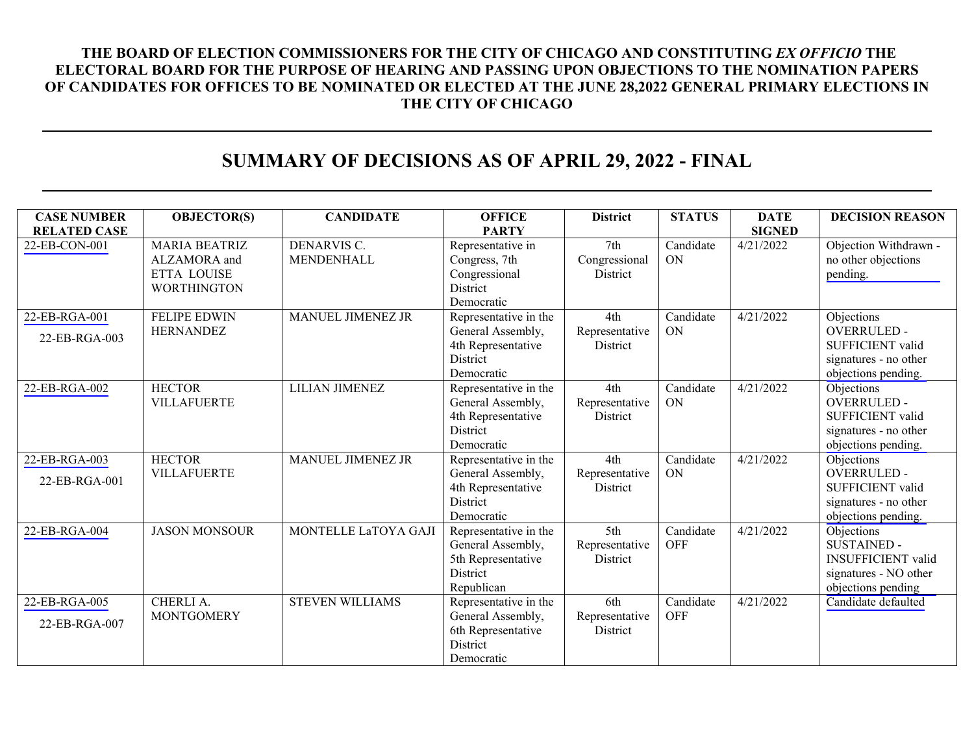## **THE BOARD OF ELECTION COMMISSIONERS FOR THE CITY OF CHICAGO AND CONSTITUTING** *EX OFFICIO* **THE ELECTORAL BOARD FOR THE PURPOSE OF HEARING AND PASSING UPON OBJECTIONS TO THE NOMINATION PAPERS OF CANDIDATES FOR OFFICES TO BE NOMINATED OR ELECTED AT THE JUNE 28,2022 GENERAL PRIMARY ELECTIONS IN THE CITY OF CHICAGO**

## **SUMMARY OF DECISIONS AS OF APRIL 29, 2022 - FINAL**

| <b>CASE NUMBER</b>             | <b>OBJECTOR(S)</b>                                                               | <b>CANDIDATE</b>          | <b>OFFICE</b>                                                                              | <b>District</b>                          | <b>STATUS</b>           | <b>DATE</b>   | <b>DECISION REASON</b>                                                                                       |
|--------------------------------|----------------------------------------------------------------------------------|---------------------------|--------------------------------------------------------------------------------------------|------------------------------------------|-------------------------|---------------|--------------------------------------------------------------------------------------------------------------|
| <b>RELATED CASE</b>            |                                                                                  |                           | <b>PARTY</b>                                                                               |                                          |                         | <b>SIGNED</b> |                                                                                                              |
| 22-EB-CON-001                  | <b>MARIA BEATRIZ</b><br>ALZAMORA and<br><b>ETTA LOUISE</b><br><b>WORTHINGTON</b> | DENARVIS C.<br>MENDENHALL | Representative in<br>Congress, 7th<br>Congressional<br>District<br>Democratic              | 7th<br>Congressional<br>District         | Candidate<br><b>ON</b>  | 4/21/2022     | Objection Withdrawn -<br>no other objections<br>pending.                                                     |
| 22-EB-RGA-001<br>22-EB-RGA-003 | <b>FELIPE EDWIN</b><br><b>HERNANDEZ</b>                                          | MANUEL JIMENEZ JR         | Representative in the<br>General Assembly,<br>4th Representative<br>District<br>Democratic | 4th<br>Representative<br>District        | Candidate<br><b>ON</b>  | 4/21/2022     | Objections<br><b>OVERRULED -</b><br>SUFFICIENT valid<br>signatures - no other<br>objections pending.         |
| 22-EB-RGA-002                  | <b>HECTOR</b><br><b>VILLAFUERTE</b>                                              | <b>LILIAN JIMENEZ</b>     | Representative in the<br>General Assembly,<br>4th Representative<br>District<br>Democratic | 4th<br>Representative<br>District        | Candidate<br><b>ON</b>  | 4/21/2022     | Objections<br><b>OVERRULED -</b><br>SUFFICIENT valid<br>signatures - no other<br>objections pending.         |
| 22-EB-RGA-003<br>22-EB-RGA-001 | <b>HECTOR</b><br><b>VILLAFUERTE</b>                                              | MANUEL JIMENEZ JR         | Representative in the<br>General Assembly,<br>4th Representative<br>District<br>Democratic | 4th<br>Representative<br><b>District</b> | Candidate<br>ON         | 4/21/2022     | Objections<br><b>OVERRULED -</b><br>SUFFICIENT valid<br>signatures - no other<br>objections pending.         |
| 22-EB-RGA-004                  | <b>JASON MONSOUR</b>                                                             | MONTELLE LaTOYA GAJI      | Representative in the<br>General Assembly,<br>5th Representative<br>District<br>Republican | 5th<br>Representative<br><b>District</b> | Candidate<br><b>OFF</b> | 4/21/2022     | Objections<br><b>SUSTAINED -</b><br><b>INSUFFICIENT</b> valid<br>signatures - NO other<br>objections pending |
| 22-EB-RGA-005<br>22-EB-RGA-007 | CHERLI A.<br><b>MONTGOMERY</b>                                                   | <b>STEVEN WILLIAMS</b>    | Representative in the<br>General Assembly,<br>6th Representative<br>District<br>Democratic | 6th<br>Representative<br>District        | Candidate<br><b>OFF</b> | 4/21/2022     | Candidate defaulted                                                                                          |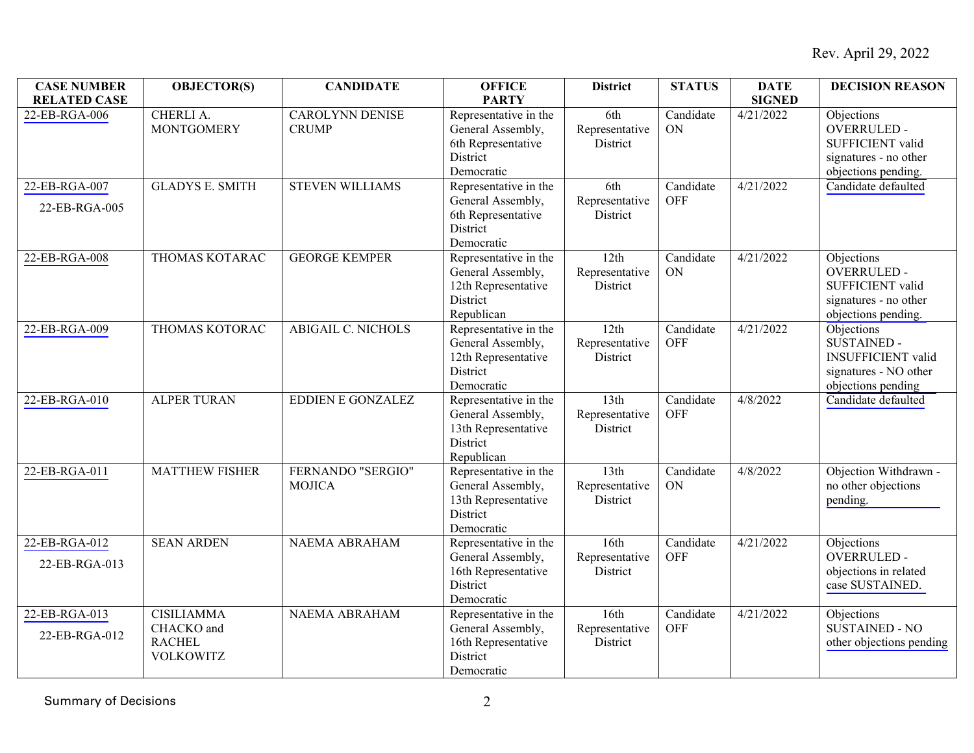| <b>CASE NUMBER</b><br><b>RELATED CASE</b> | <b>OBJECTOR(S)</b>                                                   | <b>CANDIDATE</b>                       | <b>OFFICE</b><br><b>PARTY</b>                                                               | <b>District</b>                                | <b>STATUS</b>           | <b>DATE</b><br><b>SIGNED</b> | <b>DECISION REASON</b>                                                                                       |
|-------------------------------------------|----------------------------------------------------------------------|----------------------------------------|---------------------------------------------------------------------------------------------|------------------------------------------------|-------------------------|------------------------------|--------------------------------------------------------------------------------------------------------------|
| 22-EB-RGA-006                             | <b>CHERLI A.</b><br><b>MONTGOMERY</b>                                | <b>CAROLYNN DENISE</b><br><b>CRUMP</b> | Representative in the<br>General Assembly,<br>6th Representative<br>District<br>Democratic  | 6th<br>Representative<br>District              | Candidate<br>ON         | 4/21/2022                    | Objections<br>OVERRULED -<br>SUFFICIENT valid<br>signatures - no other<br>objections pending.                |
| 22-EB-RGA-007<br>22-EB-RGA-005            | <b>GLADYS E. SMITH</b>                                               | <b>STEVEN WILLIAMS</b>                 | Representative in the<br>General Assembly,<br>6th Representative<br>District<br>Democratic  | 6th<br>Representative<br>District              | Candidate<br><b>OFF</b> | 4/21/2022                    | Candidate defaulted                                                                                          |
| 22-EB-RGA-008                             | THOMAS KOTARAC                                                       | <b>GEORGE KEMPER</b>                   | Representative in the<br>General Assembly,<br>12th Representative<br>District<br>Republican | 12th<br>Representative<br>District             | Candidate<br>ON         | 4/21/2022                    | Objections<br><b>OVERRULED-</b><br>SUFFICIENT valid<br>signatures - no other<br>objections pending.          |
| 22-EB-RGA-009                             | THOMAS KOTORAC                                                       | <b>ABIGAIL C. NICHOLS</b>              | Representative in the<br>General Assembly,<br>12th Representative<br>District<br>Democratic | 12th<br>Representative<br>District             | Candidate<br><b>OFF</b> | 4/21/2022                    | Objections<br><b>SUSTAINED -</b><br><b>INSUFFICIENT</b> valid<br>signatures - NO other<br>objections pending |
| 22-EB-RGA-010                             | <b>ALPER TURAN</b>                                                   | <b>EDDIEN E GONZALEZ</b>               | Representative in the<br>General Assembly,<br>13th Representative<br>District<br>Republican | 13th<br>Representative<br>District             | Candidate<br><b>OFF</b> | 4/8/2022                     | Candidate defaulted                                                                                          |
| 22-EB-RGA-011                             | <b>MATTHEW FISHER</b>                                                | FERNANDO "SERGIO"<br><b>MOJICA</b>     | Representative in the<br>General Assembly,<br>13th Representative<br>District<br>Democratic | 13 <sup>th</sup><br>Representative<br>District | Candidate<br>ON         | 4/8/2022                     | Objection Withdrawn -<br>no other objections<br>pending.                                                     |
| 22-EB-RGA-012<br>22-EB-RGA-013            | <b>SEAN ARDEN</b>                                                    | <b>NAEMA ABRAHAM</b>                   | Representative in the<br>General Assembly,<br>16th Representative<br>District<br>Democratic | 16th<br>Representative<br>District             | Candidate<br><b>OFF</b> | 4/21/2022                    | Objections<br><b>OVERRULED-</b><br>objections in related<br>case SUSTAINED.                                  |
| 22-EB-RGA-013<br>22-EB-RGA-012            | <b>CISILIAMMA</b><br>CHACKO and<br><b>RACHEL</b><br><b>VOLKOWITZ</b> | <b>NAEMA ABRAHAM</b>                   | Representative in the<br>General Assembly,<br>16th Representative<br>District<br>Democratic | 16th<br>Representative<br>District             | Candidate<br><b>OFF</b> | 4/21/2022                    | Objections<br><b>SUSTAINED - NO</b><br>other objections pending                                              |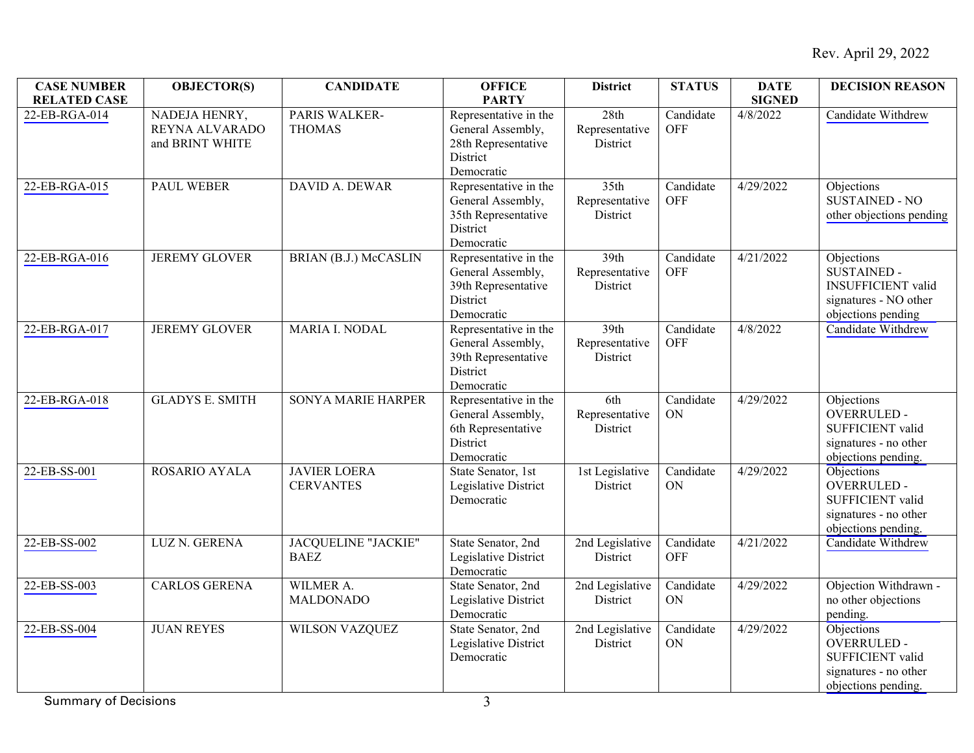| <b>CASE NUMBER</b><br><b>RELATED CASE</b> | <b>OBJECTOR(S)</b>                                 | <b>CANDIDATE</b>                        | <b>OFFICE</b><br><b>PARTY</b>                                                               | <b>District</b>                    | <b>STATUS</b>           | <b>DATE</b><br><b>SIGNED</b> | <b>DECISION REASON</b>                                                                                       |
|-------------------------------------------|----------------------------------------------------|-----------------------------------------|---------------------------------------------------------------------------------------------|------------------------------------|-------------------------|------------------------------|--------------------------------------------------------------------------------------------------------------|
| 22-EB-RGA-014                             | NADEJA HENRY,<br>REYNA ALVARADO<br>and BRINT WHITE | PARIS WALKER-<br><b>THOMAS</b>          | Representative in the<br>General Assembly,<br>28th Representative<br>District<br>Democratic | 28th<br>Representative<br>District | Candidate<br><b>OFF</b> | 4/8/2022                     | Candidate Withdrew                                                                                           |
| 22-EB-RGA-015                             | <b>PAUL WEBER</b>                                  | <b>DAVID A. DEWAR</b>                   | Representative in the<br>General Assembly,<br>35th Representative<br>District<br>Democratic | 35th<br>Representative<br>District | Candidate<br><b>OFF</b> | 4/29/2022                    | Objections<br><b>SUSTAINED - NO</b><br>other objections pending                                              |
| 22-EB-RGA-016                             | <b>JEREMY GLOVER</b>                               | BRIAN (B.J.) McCASLIN                   | Representative in the<br>General Assembly,<br>39th Representative<br>District<br>Democratic | 39th<br>Representative<br>District | Candidate<br><b>OFF</b> | 4/21/2022                    | Objections<br><b>SUSTAINED -</b><br><b>INSUFFICIENT</b> valid<br>signatures - NO other<br>objections pending |
| 22-EB-RGA-017                             | <b>JEREMY GLOVER</b>                               | MARIA I. NODAL                          | Representative in the<br>General Assembly,<br>39th Representative<br>District<br>Democratic | 39th<br>Representative<br>District | Candidate<br><b>OFF</b> | 4/8/2022                     | Candidate Withdrew                                                                                           |
| 22-EB-RGA-018                             | <b>GLADYS E. SMITH</b>                             | <b>SONYA MARIE HARPER</b>               | Representative in the<br>General Assembly,<br>6th Representative<br>District<br>Democratic  | 6th<br>Representative<br>District  | Candidate<br>ON         | 4/29/2022                    | Objections<br><b>OVERRULED-</b><br>SUFFICIENT valid<br>signatures - no other<br>objections pending.          |
| 22-EB-SS-001                              | ROSARIO AYALA                                      | <b>JAVIER LOERA</b><br><b>CERVANTES</b> | State Senator, 1st<br>Legislative District<br>Democratic                                    | 1st Legislative<br>District        | Candidate<br>ON         | 4/29/2022                    | Objections<br><b>OVERRULED-</b><br>SUFFICIENT valid<br>signatures - no other<br>objections pending.          |
| 22-EB-SS-002                              | LUZ N. GERENA                                      | JACQUELINE "JACKIE"<br><b>BAEZ</b>      | State Senator, 2nd<br>Legislative District<br>Democratic                                    | 2nd Legislative<br>District        | Candidate<br><b>OFF</b> | 4/21/2022                    | Candidate Withdrew                                                                                           |
| 22-EB-SS-003                              | <b>CARLOS GERENA</b>                               | WILMER A.<br><b>MALDONADO</b>           | State Senator, 2nd<br>Legislative District<br>Democratic                                    | 2nd Legislative<br>District        | Candidate<br>ON         | 4/29/2022                    | Objection Withdrawn -<br>no other objections<br>pending.                                                     |
| 22-EB-SS-004                              | <b>JUAN REYES</b>                                  | WILSON VAZQUEZ                          | State Senator, 2nd<br>Legislative District<br>Democratic                                    | 2nd Legislative<br>District        | Candidate<br>ON         | 4/29/2022                    | Objections<br><b>OVERRULED -</b><br>SUFFICIENT valid<br>signatures - no other<br>objections pending.         |